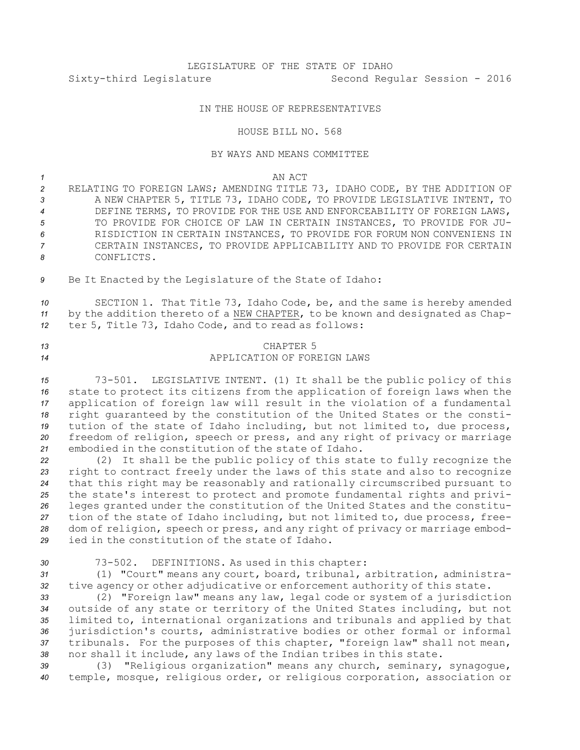# LEGISLATURE OF THE STATE OF IDAHO Sixty-third Legislature Second Regular Session - 2016

### IN THE HOUSE OF REPRESENTATIVES

#### HOUSE BILL NO. 568

#### BY WAYS AND MEANS COMMITTEE

*1* AN ACT

- *<sup>2</sup>* RELATING TO FOREIGN LAWS; AMENDING TITLE 73, IDAHO CODE, BY THE ADDITION OF *<sup>3</sup>* A NEW CHAPTER 5, TITLE 73, IDAHO CODE, TO PROVIDE LEGISLATIVE INTENT, TO *4* DEFINE TERMS, TO PROVIDE FOR THE USE AND ENFORCEABILITY OF FOREIGN LAWS, *5* TO PROVIDE FOR CHOICE OF LAW IN CERTAIN INSTANCES, TO PROVIDE FOR JU-*6* RISDICTION IN CERTAIN INSTANCES, TO PROVIDE FOR FORUM NON CONVENIENS IN *7* CERTAIN INSTANCES, TO PROVIDE APPLICABILITY AND TO PROVIDE FOR CERTAIN *8* CONFLICTS.
- *<sup>9</sup>* Be It Enacted by the Legislature of the State of Idaho:

*<sup>10</sup>* SECTION 1. That Title 73, Idaho Code, be, and the same is hereby amended *<sup>11</sup>* by the addition thereto of <sup>a</sup> NEW CHAPTER, to be known and designated as Chap-*<sup>12</sup>* ter 5, Title 73, Idaho Code, and to read as follows:

## *13* CHAPTER 5 *14* APPLICATION OF FOREIGN LAWS

 73-501. LEGISLATIVE INTENT. (1) It shall be the public policy of this state to protect its citizens from the application of foreign laws when the application of foreign law will result in the violation of <sup>a</sup> fundamental right guaranteed by the constitution of the United States or the consti- tution of the state of Idaho including, but not limited to, due process, freedom of religion, speech or press, and any right of privacy or marriage embodied in the constitution of the state of Idaho.

 (2) It shall be the public policy of this state to fully recognize the right to contract freely under the laws of this state and also to recognize that this right may be reasonably and rationally circumscribed pursuant to the state's interest to protect and promote fundamental rights and privi- leges granted under the constitution of the United States and the constitu- tion of the state of Idaho including, but not limited to, due process, free- dom of religion, speech or press, and any right of privacy or marriage embod-ied in the constitution of the state of Idaho.

*<sup>30</sup>* 73-502. DEFINITIONS. As used in this chapter:

*<sup>31</sup>* (1) "Court" means any court, board, tribunal, arbitration, administra-*<sup>32</sup>* tive agency or other adjudicative or enforcement authority of this state.

 (2) "Foreign law" means any law, legal code or system of <sup>a</sup> jurisdiction outside of any state or territory of the United States including, but not limited to, international organizations and tribunals and applied by that jurisdiction's courts, administrative bodies or other formal or informal tribunals. For the purposes of this chapter, "foreign law" shall not mean, nor shall it include, any laws of the Indian tribes in this state.

*<sup>39</sup>* (3) "Religious organization" means any church, seminary, synagogue, *<sup>40</sup>* temple, mosque, religious order, or religious corporation, association or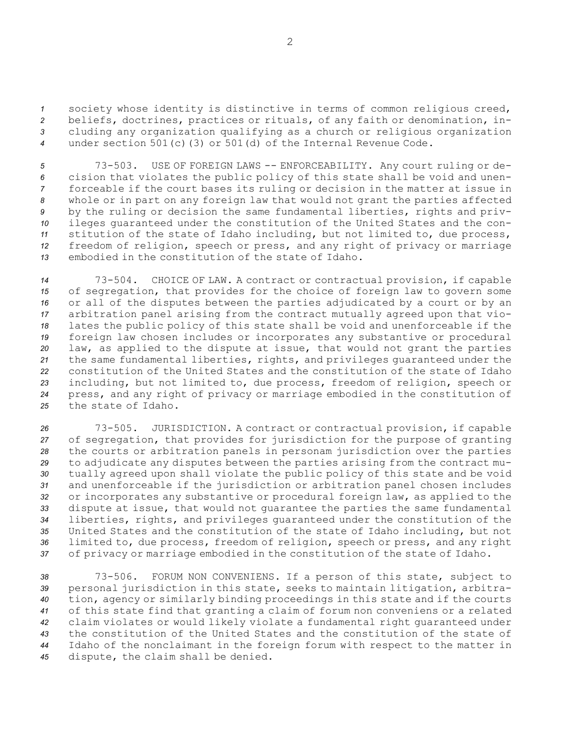society whose identity is distinctive in terms of common religious creed, beliefs, doctrines, practices or rituals, of any faith or denomination, in- cluding any organization qualifying as <sup>a</sup> church or religious organization under section 501(c)(3) or 501(d) of the Internal Revenue Code.

 73-503. USE OF FOREIGN LAWS -- ENFORCEABILITY. Any court ruling or de- cision that violates the public policy of this state shall be void and unen- forceable if the court bases its ruling or decision in the matter at issue in whole or in part on any foreign law that would not grant the parties affected by the ruling or decision the same fundamental liberties, rights and priv- ileges guaranteed under the constitution of the United States and the con- stitution of the state of Idaho including, but not limited to, due process, freedom of religion, speech or press, and any right of privacy or marriage embodied in the constitution of the state of Idaho.

 73-504. CHOICE OF LAW. <sup>A</sup> contract or contractual provision, if capable of segregation, that provides for the choice of foreign law to govern some or all of the disputes between the parties adjudicated by <sup>a</sup> court or by an arbitration panel arising from the contract mutually agreed upon that vio- lates the public policy of this state shall be void and unenforceable if the foreign law chosen includes or incorporates any substantive or procedural law, as applied to the dispute at issue, that would not grant the parties the same fundamental liberties, rights, and privileges guaranteed under the constitution of the United States and the constitution of the state of Idaho including, but not limited to, due process, freedom of religion, speech or press, and any right of privacy or marriage embodied in the constitution of the state of Idaho.

 73-505. JURISDICTION. <sup>A</sup> contract or contractual provision, if capable of segregation, that provides for jurisdiction for the purpose of granting the courts or arbitration panels in personam jurisdiction over the parties to adjudicate any disputes between the parties arising from the contract mu- tually agreed upon shall violate the public policy of this state and be void and unenforceable if the jurisdiction or arbitration panel chosen includes or incorporates any substantive or procedural foreign law, as applied to the dispute at issue, that would not guarantee the parties the same fundamental liberties, rights, and privileges guaranteed under the constitution of the United States and the constitution of the state of Idaho including, but not limited to, due process, freedom of religion, speech or press, and any right of privacy or marriage embodied in the constitution of the state of Idaho.

 73-506. FORUM NON CONVENIENS. If <sup>a</sup> person of this state, subject to personal jurisdiction in this state, seeks to maintain litigation, arbitra- tion, agency or similarly binding proceedings in this state and if the courts of this state find that granting <sup>a</sup> claim of forum non conveniens or <sup>a</sup> related claim violates or would likely violate <sup>a</sup> fundamental right guaranteed under the constitution of the United States and the constitution of the state of Idaho of the nonclaimant in the foreign forum with respect to the matter in dispute, the claim shall be denied.